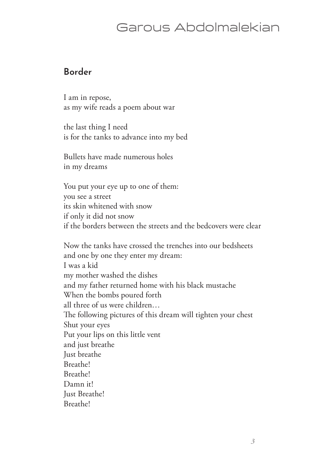## Garous Abdolmalekian

#### **Border**

I am in repose, as my wife reads a poem about war

the last thing I need is for the tanks to advance into my bed

Bullets have made numerous holes in my dreams

You put your eye up to one of them: you see a street its skin whitened with snow if only it did not snow if the borders between the streets and the bedcovers were clear

Now the tanks have crossed the trenches into our bedsheets and one by one they enter my dream: I was a kid my mother washed the dishes and my father returned home with his black mustache When the bombs poured forth all three of us were children… The following pictures of this dream will tighten your chest Shut your eyes Put your lips on this little vent and just breathe Just breathe Breathe! Breathe! Damn it! Just Breathe! Breathe!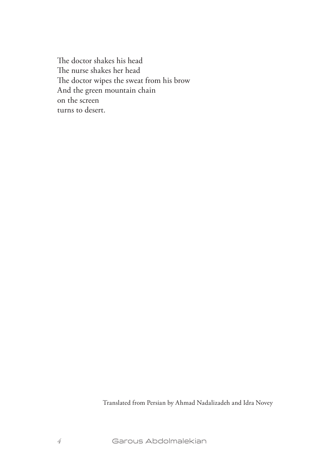The doctor shakes his head The nurse shakes her head The doctor wipes the sweat from his brow And the green mountain chain on the screen turns to desert.

Translated from Persian by Ahmad Nadalizadeh and Idra Novey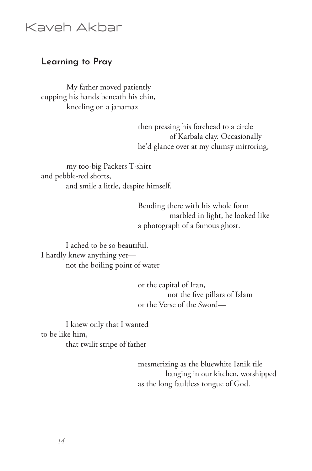### Kaveh Akbar

#### **Learning to Pray**

My father moved patiently cupping his hands beneath his chin, kneeling on a janamaz

> then pressing his forehead to a circle of Karbala clay. Occasionally he'd glance over at my clumsy mirroring,

my too-big Packers T-shirt and pebble-red shorts, and smile a little, despite himself.

> Bending there with his whole form marbled in light, he looked like a photograph of a famous ghost.

 I ached to be so beautiful. I hardly knew anything yet not the boiling point of water

> or the capital of Iran, not the five pillars of Islam or the Verse of the Sword—

 I knew only that I wanted to be like him, that twilit stripe of father

> mesmerizing as the bluewhite Iznik tile hanging in our kitchen, worshipped as the long faultless tongue of God.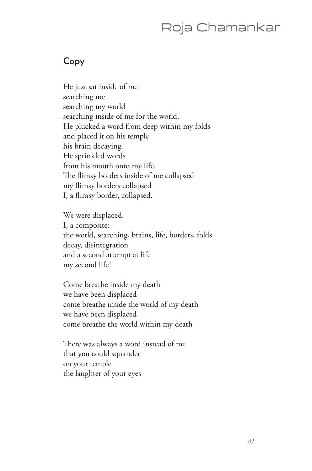# Roja Chamankar

#### **Copy**

He just sat inside of me searching me searching my world searching inside of me for the world. He plucked a word from deep within my folds and placed it on his temple his brain decaying. He sprinkled words from his mouth onto my life. The flimsy borders inside of me collapsed my flimsy borders collapsed I, a flimsy border, collapsed.

We were displaced. I, a composite: the world, searching, brains, life, borders, folds decay, disintegration and a second attempt at life my second life!

Come breathe inside my death we have been displaced come breathe inside the world of my death we have been displaced come breathe the world within my death

There was always a word instead of me that you could squander on your temple the laughter of your eyes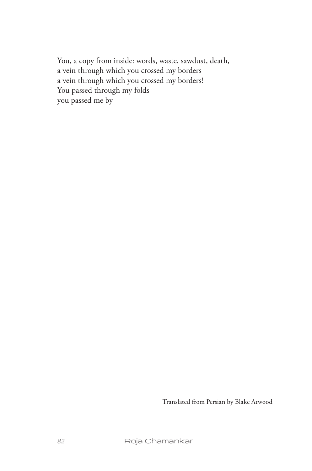You, a copy from inside: words, waste, sawdust, death, a vein through which you crossed my borders a vein through which you crossed my borders! You passed through my folds you passed me by

Translated from Persian by Blake Atwood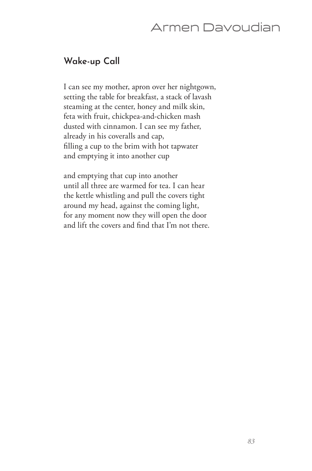## Armen Davoudian

### **Wake-up Call**

I can see my mother, apron over her nightgown, setting the table for breakfast, a stack of lavash steaming at the center, honey and milk skin, feta with fruit, chickpea-and-chicken mash dusted with cinnamon. I can see my father, already in his coveralls and cap, filling a cup to the brim with hot tapwater and emptying it into another cup

and emptying that cup into another until all three are warmed for tea. I can hear the kettle whistling and pull the covers tight around my head, against the coming light, for any moment now they will open the door and lift the covers and find that I'm not there.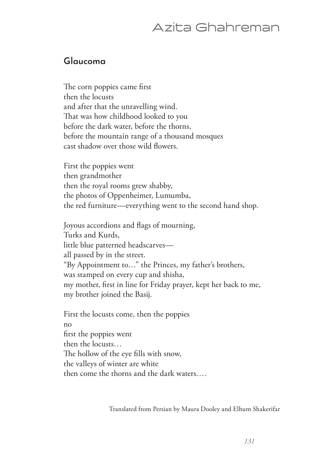### Azita Ghahreman

#### **Glaucoma**

The corn poppies came first then the locusts and after that the unravelling wind. That was how childhood looked to you before the dark water, before the thorns, before the mountain range of a thousand mosques cast shadow over those wild flowers.

First the poppies went then grandmother then the royal rooms grew shabby, the photos of Oppenheimer, Lumumba, the red furniture—everything went to the second hand shop.

Joyous accordions and flags of mourning, Turks and Kurds, little blue patterned headscarves all passed by in the street. "By Appointment to…" the Princes, my father's brothers, was stamped on every cup and shisha, my mother, first in line for Friday prayer, kept her back to me, my brother joined the Basij.

First the locusts come, then the poppies no first the poppies went then the locusts… The hollow of the eye fills with snow, the valleys of winter are white then come the thorns and the dark waters.…

Translated from Persian by Maura Dooley and Elhum Shakerifar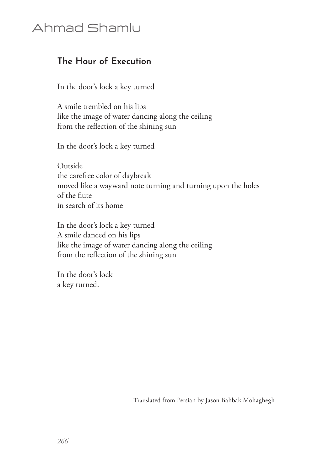# Ahmad Shamlu

### **The Hour of Execution**

In the door's lock a key turned

A smile trembled on his lips like the image of water dancing along the ceiling from the reflection of the shining sun

In the door's lock a key turned

Outside the carefree color of daybreak moved like a wayward note turning and turning upon the holes of the flute in search of its home

In the door's lock a key turned A smile danced on his lips like the image of water dancing along the ceiling from the reflection of the shining sun

In the door's lock a key turned.

Translated from Persian by Jason Bahbak Mohaghegh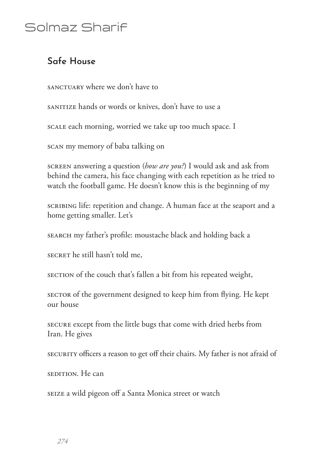# Solmaz Sharif

### **Safe House**

SANCTUARY where we don't have to

sanitize hands or words or knives, don't have to use a

scalle each morning, worried we take up too much space. I

scan my memory of baba talking on

screen answering a question (*how are you?*) I would ask and ask from behind the camera, his face changing with each repetition as he tried to watch the football game. He doesn't know this is the beginning of my

scribing life: repetition and change. A human face at the seaport and a home getting smaller. Let's

search my father's profile: moustache black and holding back a

SECRET he still hasn't told me,

section of the couch that's fallen a bit from his repeated weight,

sector of the government designed to keep him from flying. He kept our house

secure except from the little bugs that come with dried herbs from Iran. He gives

security officers a reason to get off their chairs. My father is not afraid of

sedition. He can

seize a wild pigeon off a Santa Monica street or watch